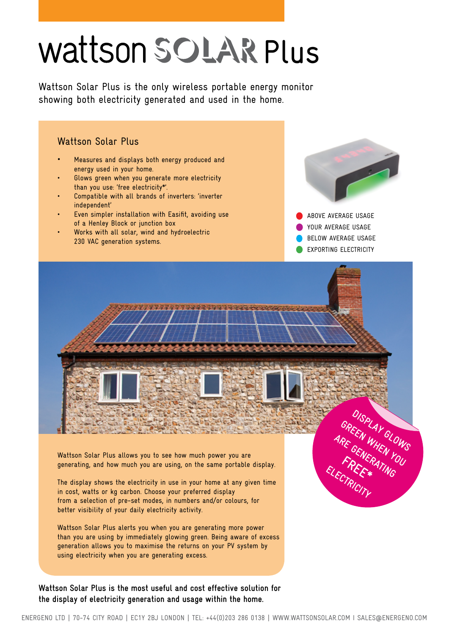# Wattson SOLAR Plus

Wattson Solar Plus is the only wireless portable energy monitor showing both electricity generated and used in the home.



than you are using by immediately glowing green. Being aware of excess generation allows you to maximise the returns on your PV system by using electricity when you are generating excess.

**Wattson Solar Plus is the most useful and cost effective solution for the display of electricity generation and usage within the home.**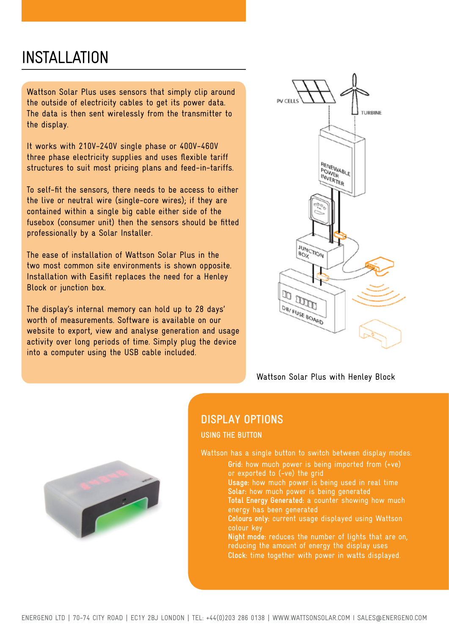## INSTALLATION

Wattson Solar Plus uses sensors that simply clip around the outside of electricity cables to get its power data. The data is then sent wirelessly from the transmitter to the display.

It works with 210V-240V single phase or 400V-460V three phase electricity supplies and uses flexible tariff structures to suit most pricing plans and feed-in-tariffs.

To self-fit the sensors, there needs to be access to either the live or neutral wire (single-core wires); if they are contained within a single big cable either side of the fusebox (consumer unit) then the sensors should be fitted professionally by a Solar Installer.

The ease of installation of Wattson Solar Plus in the two most common site environments is shown opposite. Installation with Easifit replaces the need for a Henley Block or junction box.

The display's internal memory can hold up to 28 days' worth of measurements. Software is available on our website to export, view and analyse generation and usage activity over long periods of time. Simply plug the device into a computer using the USB cable included.



Wattson Solar Plus with Henley Block



### **DISPLAY OPTIONS**

**USING THE BUTTON**

Wattson has a single button to switch between display modes:

- **Grid:** how much power is being imported from (+ve) or exported to (-ve) the grid
- **Usage:** how much power is being used in real time **Solar:** how much power is being generated **Total Energy Generated:** a counter showing how much
- energy has been generated
- **Colours only:** current usage displayed using Wattson colour key
- **Night mode:** reduces the number of lights that are on, reducing the amount of energy the display uses **Clock:** time together with power in watts displayed.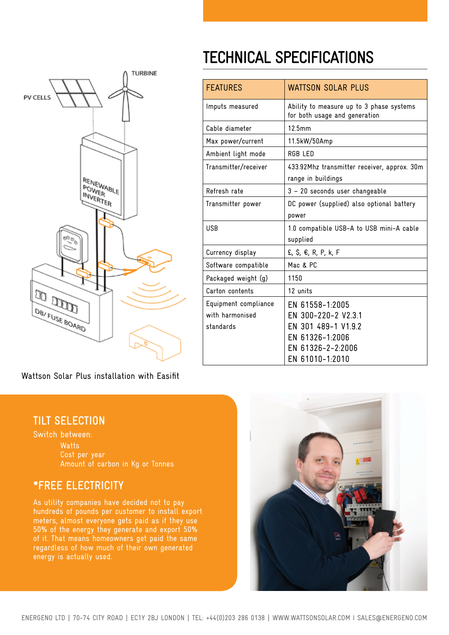

# **TECHNICAL SPECIFICATIONS**

| <b>FEATURES</b>                                      | <b>WATTSON SOLAR PLUS</b>                                                                                                |
|------------------------------------------------------|--------------------------------------------------------------------------------------------------------------------------|
| Imputs measured                                      | Ability to measure up to 3 phase systems<br>for both usage and generation                                                |
| Cable diameter                                       | 12.5mm                                                                                                                   |
| Max power/current                                    | 11.5kW/50Amp                                                                                                             |
| Ambient light mode                                   | RGB LED                                                                                                                  |
| Transmitter/receiver                                 | 433.92Mhz transmitter receiver, approx. 30m<br>range in buildings                                                        |
| Refresh rate                                         | 3 - 20 seconds user changeable                                                                                           |
| Transmitter power                                    | DC power (supplied) also optional battery<br>power                                                                       |
| <b>USB</b>                                           | 1.0 compatible USB-A to USB mini-A cable<br>supplied                                                                     |
| Currency display                                     | £, \$, €, R, P, k, F                                                                                                     |
| Software compatible                                  | Mac & PC                                                                                                                 |
| Packaged weight (g)                                  | 1150                                                                                                                     |
| Carton contents                                      | 12 units                                                                                                                 |
| Equipment compliance<br>with harmonised<br>standards | EN 61558-1:2005<br>EN 300-220-2 V2.3.1<br>EN 301 489-1 V1.9.2<br>EN 61326-1:2006<br>EN 61326-2-2:2006<br>EN 61010-1:2010 |

Wattson Solar Plus installation with Easifit

#### **TILT SELECTION**

Switch between: **Watts** Cost per year Amount of carbon in Kg or Tonnes

#### **\*FREE ELECTRICITY**

As utility companies have decided not to pay hundreds of pounds per customer to install export meters, almost everyone gets paid as if they use 50% of the energy they generate and export 50% of it. That means homeowners get paid the same regardless of how much of their own generated energy is actually used.